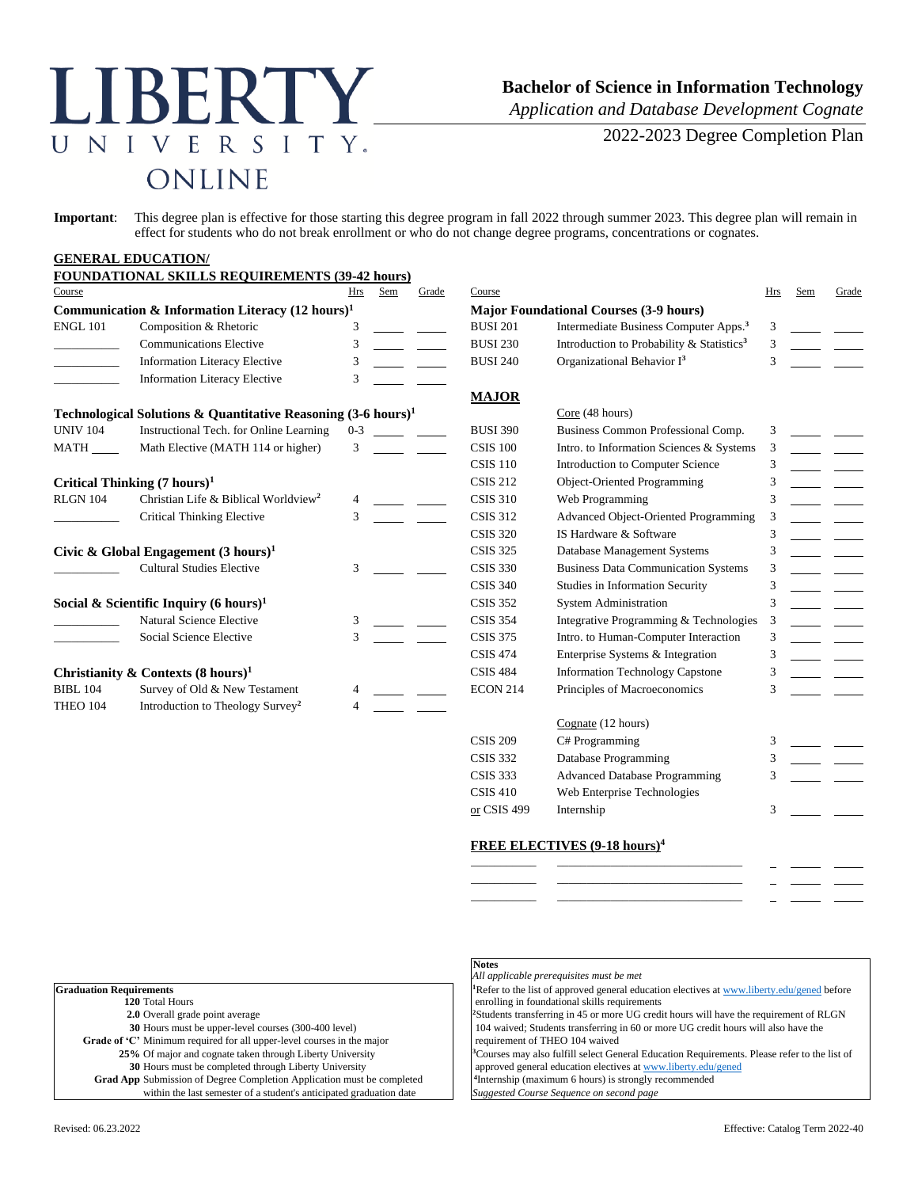# LIBERTY NIVERSITY.  $\overline{U}$ ONLINE

## **Bachelor of Science in Information Technology**

*Application and Database Development Cognate*

2022-2023 Degree Completion Plan

**Important**: This degree plan is effective for those starting this degree program in fall 2022 through summer 2023. This degree plan will remain in effect for students who do not break enrollment or who do not change degree programs, concentrations or cognates.

#### **GENERAL EDUCATION/**

|                                                             | <b>FOUNDATIONAL SKILLS REQUIREMENTS (39-42 hours)</b>                    |         |                 |                                               |                 |                                                       |     |     |       |
|-------------------------------------------------------------|--------------------------------------------------------------------------|---------|-----------------|-----------------------------------------------|-----------------|-------------------------------------------------------|-----|-----|-------|
| Course                                                      |                                                                          | Hrs     | Sem             | Grade                                         | Course          |                                                       | Hrs | Sem | Grade |
| Communication & Information Literacy $(12 \text{ hours})^1$ |                                                                          |         |                 | <b>Major Foundational Courses (3-9 hours)</b> |                 |                                                       |     |     |       |
| <b>ENGL 101</b>                                             | Composition & Rhetoric                                                   | 3       |                 |                                               | <b>BUSI 201</b> | Intermediate Business Computer Apps. <sup>3</sup>     | 3   |     |       |
|                                                             | <b>Communications Elective</b>                                           | 3       |                 |                                               | <b>BUSI 230</b> | Introduction to Probability & Statistics <sup>3</sup> | 3   |     |       |
|                                                             | <b>Information Literacy Elective</b>                                     | 3       |                 |                                               | <b>BUSI 240</b> | Organizational Behavior I <sup>3</sup>                | 3   |     |       |
|                                                             | <b>Information Literacy Elective</b>                                     | 3       |                 |                                               |                 |                                                       |     |     |       |
|                                                             |                                                                          |         |                 |                                               | <b>MAJOR</b>    |                                                       |     |     |       |
|                                                             | Technological Solutions & Quantitative Reasoning $(3-6 \text{ hours})^1$ |         |                 |                                               |                 | Core (48 hours)                                       |     |     |       |
| <b>UNIV 104</b>                                             | Instructional Tech. for Online Learning                                  | $0 - 3$ |                 |                                               | <b>BUSI 390</b> | Business Common Professional Comp.                    | 3   |     |       |
| <b>MATH</b>                                                 | Math Elective (MATH 114 or higher)                                       | 3       |                 |                                               | <b>CSIS 100</b> | Intro. to Information Sciences & Systems              | 3   |     |       |
|                                                             |                                                                          |         |                 |                                               | <b>CSIS 110</b> | <b>Introduction to Computer Science</b>               | 3   |     |       |
|                                                             | Critical Thinking $(7 \text{ hours})^1$                                  |         |                 |                                               | <b>CSIS 212</b> | Object-Oriented Programming                           | 3   |     |       |
| <b>RLGN 104</b>                                             | Christian Life & Biblical Worldview <sup>2</sup>                         |         |                 |                                               | <b>CSIS 310</b> | Web Programming                                       | 3   |     |       |
|                                                             | <b>Critical Thinking Elective</b>                                        |         |                 |                                               | <b>CSIS 312</b> | <b>Advanced Object-Oriented Programming</b>           | 3   |     |       |
|                                                             |                                                                          |         |                 |                                               | <b>CSIS 320</b> | IS Hardware & Software                                | 3   |     |       |
| Civic & Global Engagement $(3 \text{ hours})^1$             |                                                                          |         |                 |                                               | <b>CSIS 325</b> | Database Management Systems                           | 3   |     |       |
|                                                             | <b>Cultural Studies Elective</b>                                         | 3       |                 |                                               | <b>CSIS 330</b> | <b>Business Data Communication Systems</b>            | 3   |     |       |
|                                                             |                                                                          |         |                 |                                               | <b>CSIS 340</b> | Studies in Information Security                       | 3   |     |       |
| Social & Scientific Inquiry (6 hours) <sup>1</sup>          |                                                                          |         |                 |                                               | <b>CSIS 352</b> | <b>System Administration</b>                          | 3   |     |       |
|                                                             | <b>Natural Science Elective</b>                                          | 3       |                 |                                               | <b>CSIS 354</b> | Integrative Programming & Technologies                | 3   |     |       |
|                                                             | Social Science Elective                                                  | 3       |                 |                                               | <b>CSIS 375</b> | Intro. to Human-Computer Interaction                  | 3   |     |       |
|                                                             |                                                                          |         |                 |                                               | <b>CSIS 474</b> | Enterprise Systems & Integration                      | 3   |     |       |
| Christianity & Contexts $(8 \text{ hours})^1$               |                                                                          |         | <b>CSIS 484</b> | <b>Information Technology Capstone</b>        | 3               |                                                       |     |     |       |
| <b>BIBL 104</b>                                             | Survey of Old & New Testament                                            |         |                 |                                               | <b>ECON 214</b> | Principles of Macroeconomics                          | 3   |     |       |
| THEO 104                                                    | Introduction to Theology Survey <sup>2</sup>                             |         |                 |                                               |                 |                                                       |     |     |       |
|                                                             |                                                                          |         |                 |                                               |                 | Cognate (12 hours)                                    |     |     |       |
|                                                             |                                                                          |         |                 |                                               | <b>CSIS 209</b> | C# Programming                                        | 3   |     |       |
|                                                             |                                                                          |         |                 |                                               | <b>CSIS 332</b> | Database Programming                                  |     |     |       |

|                 | Cognate (12 hours)                   |   |  |
|-----------------|--------------------------------------|---|--|
| <b>CSIS 209</b> | C# Programming                       | 3 |  |
| <b>CSIS 332</b> | Database Programming                 | 3 |  |
| <b>CSIS 333</b> | <b>Advanced Database Programming</b> | 3 |  |
| <b>CSIS 410</b> | Web Enterprise Technologies          |   |  |
| or CSIS 499     | Internship                           |   |  |
|                 |                                      |   |  |

#### **FREE ELECTIVES (9-18 hours)<sup>4</sup>**

\_\_\_\_\_\_\_\_\_\_\_ \_\_\_\_\_\_\_\_\_\_\_\_\_\_\_\_\_\_\_\_\_\_\_\_\_\_\_\_\_\_\_ \_\_\_\_\_\_\_\_\_\_\_ \_\_\_\_\_\_\_\_\_\_\_\_\_\_\_\_\_\_\_\_\_\_\_\_\_\_\_\_\_\_\_ \_\_\_\_\_\_\_\_\_\_\_ \_\_\_\_\_\_\_\_\_\_\_\_\_\_\_\_\_\_\_\_\_\_\_\_\_\_\_\_\_\_\_

|                                                                               | .                     |
|-------------------------------------------------------------------------------|-----------------------|
|                                                                               | All appli             |
| <b>Graduation Requirements</b>                                                | <sup>1</sup> Refer to |
| 120 Total Hours                                                               | enrolling             |
| 2.0 Overall grade point average                                               | <sup>2</sup> Students |
| 30 Hours must be upper-level courses (300-400 level)                          | $104$ wai             |
| Grade of 'C' Minimum required for all upper-level courses in the major        | requiren              |
| 25% Of major and cognate taken through Liberty University                     | <sup>3</sup> Courses  |
| 30 Hours must be completed through Liberty University                         | approve               |
| <b>Grad App</b> Submission of Degree Completion Application must be completed | <sup>4</sup> Internsh |
| within the last semester of a student's anticipated graduation date           | Suggeste              |

#### **Notes**

 $\emph{cable}$  prerequisites must be met

the list of approved general education electives a[t www.liberty.edu/gened](http://www.liberty.edu/gened) before g in foundational skills requirements

transferring in 45 or more UG credit hours will have the requirement of RLGN ved; Students transferring in 60 or more UG credit hours will also have the nent of THEO 104 waived

may also fulfill select General Education Requirements. Please refer to the list of d general education electives a[t www.liberty.edu/gened](http://www.liberty.edu/gened) <sup>4</sup>Internship (maximum 6 hours) is strongly recommended Suggested Course Sequence on second page